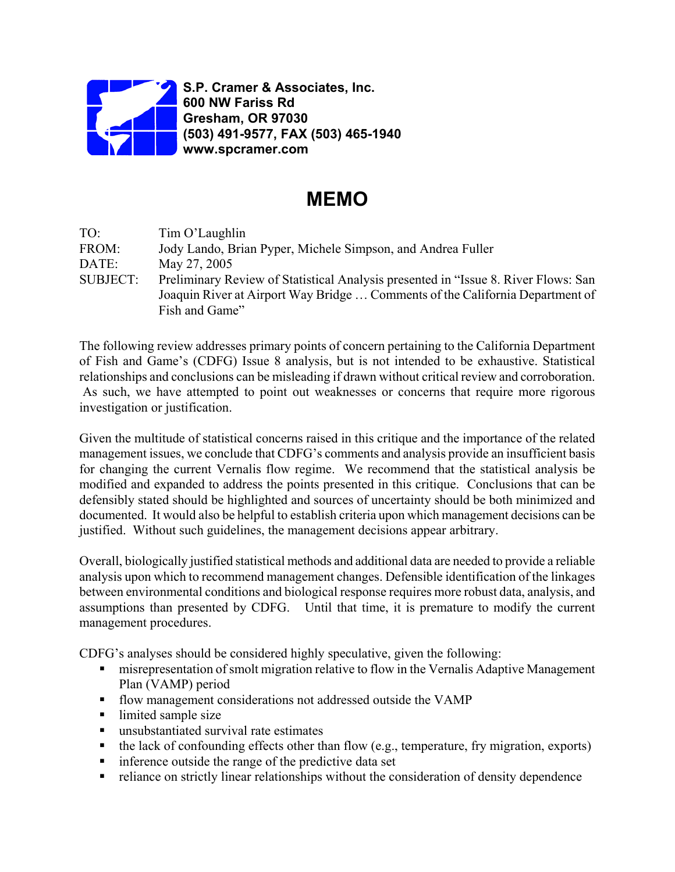

S.P. Cramer & Associates, Inc. 600 NW Fariss Rd Gresham, OR 97030 (503) 491-9577, FAX (503) 465-1940 www.spcramer.com

# MEMO

| TO:             | Tim O'Laughlin                                                                     |
|-----------------|------------------------------------------------------------------------------------|
| FROM:           | Jody Lando, Brian Pyper, Michele Simpson, and Andrea Fuller                        |
| DATE:           | May 27, 2005                                                                       |
| <b>SUBJECT:</b> | Preliminary Review of Statistical Analysis presented in "Issue 8. River Flows: San |
|                 | Joaquin River at Airport Way Bridge  Comments of the California Department of      |
|                 | Fish and Game"                                                                     |

The following review addresses primary points of concern pertaining to the California Department of Fish and Game's (CDFG) Issue 8 analysis, but is not intended to be exhaustive. Statistical relationships and conclusions can be misleading if drawn without critical review and corroboration. As such, we have attempted to point out weaknesses or concerns that require more rigorous investigation or justification.

Given the multitude of statistical concerns raised in this critique and the importance of the related management issues, we conclude that CDFG's comments and analysis provide an insufficient basis for changing the current Vernalis flow regime. We recommend that the statistical analysis be modified and expanded to address the points presented in this critique. Conclusions that can be defensibly stated should be highlighted and sources of uncertainty should be both minimized and documented. It would also be helpful to establish criteria upon which management decisions can be justified. Without such guidelines, the management decisions appear arbitrary.

Overall, biologically justified statistical methods and additional data are needed to provide a reliable analysis upon which to recommend management changes. Defensible identification of the linkages between environmental conditions and biological response requires more robust data, analysis, and assumptions than presented by CDFG. Until that time, it is premature to modify the current management procedures.

CDFG's analyses should be considered highly speculative, given the following:

- misrepresentation of smolt migration relative to flow in the Vernalis Adaptive Management Plan (VAMP) period
- **flow management considerations not addressed outside the VAMP**
- limited sample size
- unsubstantiated survival rate estimates
- the lack of confounding effects other than flow (e.g., temperature, fry migration, exports)
- $\blacksquare$  inference outside the range of the predictive data set
- reliance on strictly linear relationships without the consideration of density dependence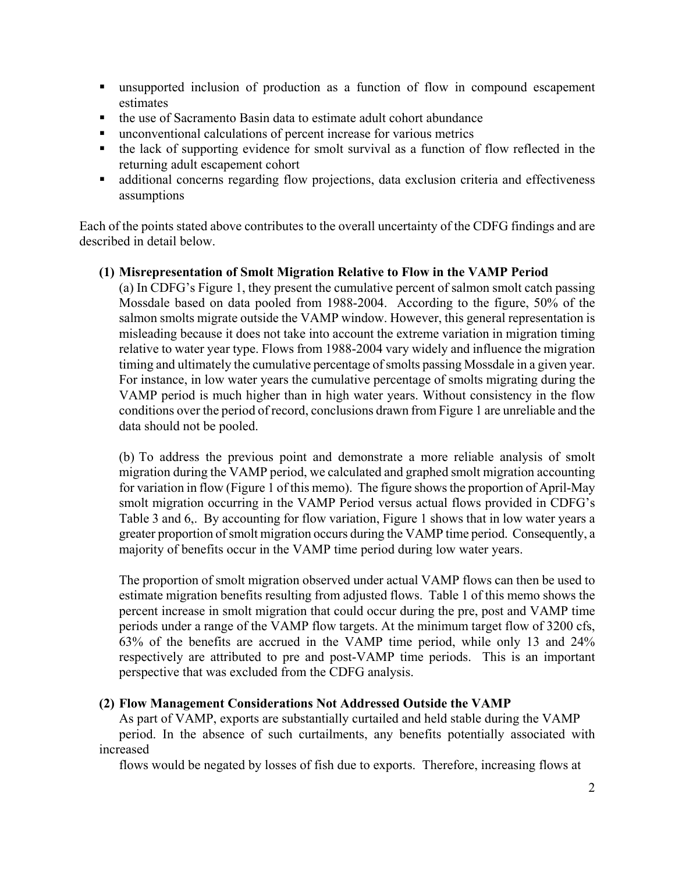- unsupported inclusion of production as a function of flow in compound escapement estimates
- the use of Sacramento Basin data to estimate adult cohort abundance
- unconventional calculations of percent increase for various metrics
- the lack of supporting evidence for smolt survival as a function of flow reflected in the returning adult escapement cohort
- additional concerns regarding flow projections, data exclusion criteria and effectiveness assumptions

Each of the points stated above contributes to the overall uncertainty of the CDFG findings and are described in detail below.

# (1) Misrepresentation of Smolt Migration Relative to Flow in the VAMP Period

(a) In CDFG's Figure 1, they present the cumulative percent of salmon smolt catch passing Mossdale based on data pooled from 1988-2004. According to the figure, 50% of the salmon smolts migrate outside the VAMP window. However, this general representation is misleading because it does not take into account the extreme variation in migration timing relative to water year type. Flows from 1988-2004 vary widely and influence the migration timing and ultimately the cumulative percentage of smolts passing Mossdale in a given year. For instance, in low water years the cumulative percentage of smolts migrating during the VAMP period is much higher than in high water years. Without consistency in the flow conditions over the period of record, conclusions drawn from Figure 1 are unreliable and the data should not be pooled.

(b) To address the previous point and demonstrate a more reliable analysis of smolt migration during the VAMP period, we calculated and graphed smolt migration accounting for variation in flow (Figure 1 of this memo). The figure shows the proportion of April-May smolt migration occurring in the VAMP Period versus actual flows provided in CDFG's Table 3 and 6,. By accounting for flow variation, Figure 1 shows that in low water years a greater proportion of smolt migration occurs during the VAMP time period. Consequently, a majority of benefits occur in the VAMP time period during low water years.

The proportion of smolt migration observed under actual VAMP flows can then be used to estimate migration benefits resulting from adjusted flows. Table 1 of this memo shows the percent increase in smolt migration that could occur during the pre, post and VAMP time periods under a range of the VAMP flow targets. At the minimum target flow of 3200 cfs, 63% of the benefits are accrued in the VAMP time period, while only 13 and 24% respectively are attributed to pre and post-VAMP time periods. This is an important perspective that was excluded from the CDFG analysis.

# (2) Flow Management Considerations Not Addressed Outside the VAMP

As part of VAMP, exports are substantially curtailed and held stable during the VAMP period. In the absence of such curtailments, any benefits potentially associated with increased

flows would be negated by losses of fish due to exports. Therefore, increasing flows at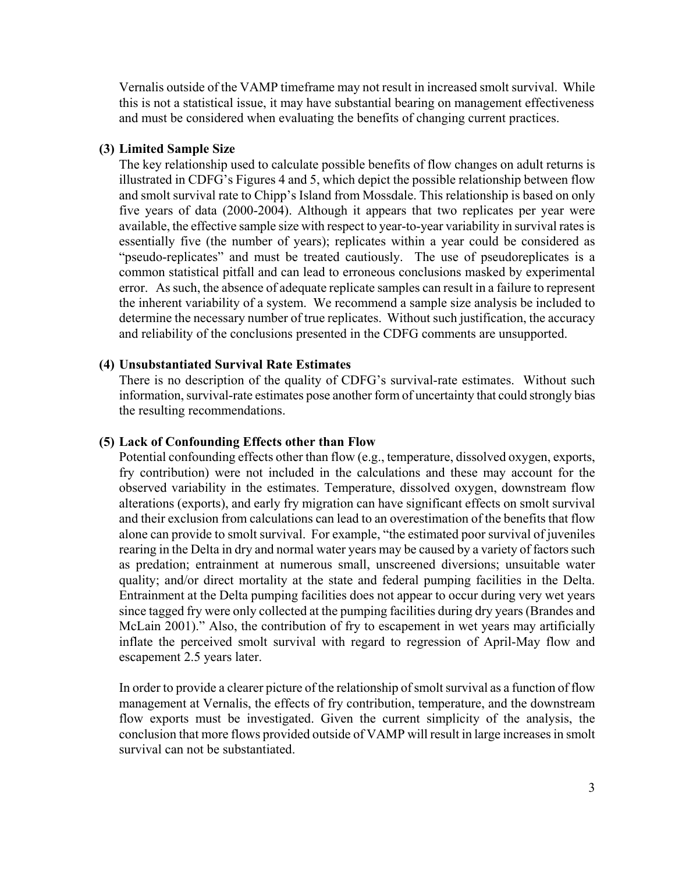Vernalis outside of the VAMP timeframe may not result in increased smolt survival. While this is not a statistical issue, it may have substantial bearing on management effectiveness and must be considered when evaluating the benefits of changing current practices.

# (3) Limited Sample Size

The key relationship used to calculate possible benefits of flow changes on adult returns is illustrated in CDFG's Figures 4 and 5, which depict the possible relationship between flow and smolt survival rate to Chipp's Island from Mossdale. This relationship is based on only five years of data (2000-2004). Although it appears that two replicates per year were available, the effective sample size with respect to year-to-year variability in survival rates is essentially five (the number of years); replicates within a year could be considered as "pseudo-replicates" and must be treated cautiously. The use of pseudoreplicates is a common statistical pitfall and can lead to erroneous conclusions masked by experimental error. As such, the absence of adequate replicate samples can result in a failure to represent the inherent variability of a system. We recommend a sample size analysis be included to determine the necessary number of true replicates. Without such justification, the accuracy and reliability of the conclusions presented in the CDFG comments are unsupported.

#### (4) Unsubstantiated Survival Rate Estimates

There is no description of the quality of CDFG's survival-rate estimates. Without such information, survival-rate estimates pose another form of uncertainty that could strongly bias the resulting recommendations.

#### (5) Lack of Confounding Effects other than Flow

Potential confounding effects other than flow (e.g., temperature, dissolved oxygen, exports, fry contribution) were not included in the calculations and these may account for the observed variability in the estimates. Temperature, dissolved oxygen, downstream flow alterations (exports), and early fry migration can have significant effects on smolt survival and their exclusion from calculations can lead to an overestimation of the benefits that flow alone can provide to smolt survival. For example, "the estimated poor survival of juveniles rearing in the Delta in dry and normal water years may be caused by a variety of factors such as predation; entrainment at numerous small, unscreened diversions; unsuitable water quality; and/or direct mortality at the state and federal pumping facilities in the Delta. Entrainment at the Delta pumping facilities does not appear to occur during very wet years since tagged fry were only collected at the pumping facilities during dry years (Brandes and McLain 2001)." Also, the contribution of fry to escapement in wet years may artificially inflate the perceived smolt survival with regard to regression of April-May flow and escapement 2.5 years later.

In order to provide a clearer picture of the relationship of smolt survival as a function of flow management at Vernalis, the effects of fry contribution, temperature, and the downstream flow exports must be investigated. Given the current simplicity of the analysis, the conclusion that more flows provided outside of VAMP will result in large increases in smolt survival can not be substantiated.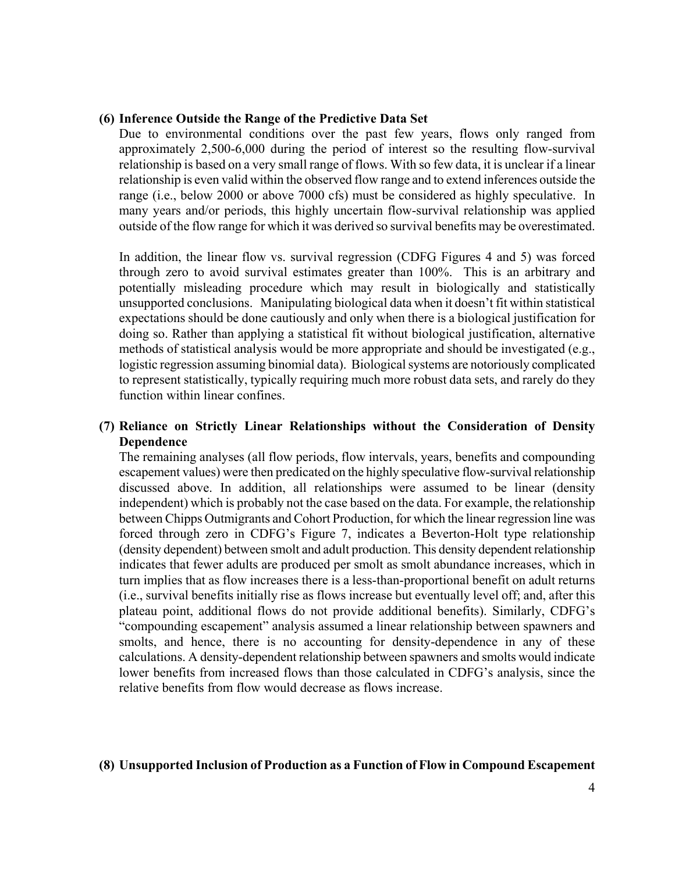#### (6) Inference Outside the Range of the Predictive Data Set

Due to environmental conditions over the past few years, flows only ranged from approximately 2,500-6,000 during the period of interest so the resulting flow-survival relationship is based on a very small range of flows. With so few data, it is unclear if a linear relationship is even valid within the observed flow range and to extend inferences outside the range (i.e., below 2000 or above 7000 cfs) must be considered as highly speculative. In many years and/or periods, this highly uncertain flow-survival relationship was applied outside of the flow range for which it was derived so survival benefits may be overestimated.

In addition, the linear flow vs. survival regression (CDFG Figures 4 and 5) was forced through zero to avoid survival estimates greater than 100%. This is an arbitrary and potentially misleading procedure which may result in biologically and statistically unsupported conclusions. Manipulating biological data when it doesn't fit within statistical expectations should be done cautiously and only when there is a biological justification for doing so. Rather than applying a statistical fit without biological justification, alternative methods of statistical analysis would be more appropriate and should be investigated (e.g., logistic regression assuming binomial data). Biological systems are notoriously complicated to represent statistically, typically requiring much more robust data sets, and rarely do they function within linear confines.

# (7) Reliance on Strictly Linear Relationships without the Consideration of Density Dependence

The remaining analyses (all flow periods, flow intervals, years, benefits and compounding escapement values) were then predicated on the highly speculative flow-survival relationship discussed above. In addition, all relationships were assumed to be linear (density independent) which is probably not the case based on the data. For example, the relationship between Chipps Outmigrants and Cohort Production, for which the linear regression line was forced through zero in CDFG's Figure 7, indicates a Beverton-Holt type relationship (density dependent) between smolt and adult production. This density dependent relationship indicates that fewer adults are produced per smolt as smolt abundance increases, which in turn implies that as flow increases there is a less-than-proportional benefit on adult returns (i.e., survival benefits initially rise as flows increase but eventually level off; and, after this plateau point, additional flows do not provide additional benefits). Similarly, CDFG's "compounding escapement" analysis assumed a linear relationship between spawners and smolts, and hence, there is no accounting for density-dependence in any of these calculations. A density-dependent relationship between spawners and smolts would indicate lower benefits from increased flows than those calculated in CDFG's analysis, since the relative benefits from flow would decrease as flows increase.

#### (8) Unsupported Inclusion of Production as a Function of Flow in Compound Escapement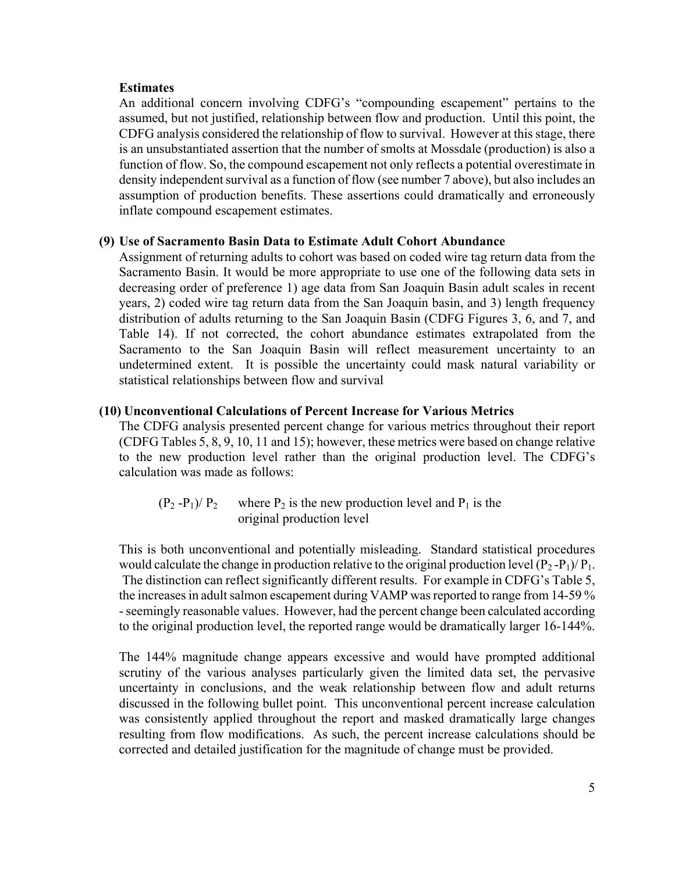#### **Estimates**

An additional concern involving CDFG's "compounding escapement" pertains to the assumed, but not justified, relationship between flow and production. Until this point, the CDFG analysis considered the relationship of flow to survival. However at this stage, there is an unsubstantiated assertion that the number of smolts at Mossdale (production) is also a function of flow. So, the compound escapement not only reflects a potential overestimate in density independent survival as a function of flow (see number 7 above), but also includes an assumption of production benefits. These assertions could dramatically and erroneously inflate compound escapement estimates.

# (9) Use of Sacramento Basin Data to Estimate Adult Cohort Abundance

Assignment of returning adults to cohort was based on coded wire tag return data from the Sacramento Basin. It would be more appropriate to use one of the following data sets in decreasing order of preference 1) age data from San Joaquin Basin adult scales in recent years, 2) coded wire tag return data from the San Joaquin basin, and 3) length frequency distribution of adults returning to the San Joaquin Basin (CDFG Figures 3, 6, and 7, and Table 14). If not corrected, the cohort abundance estimates extrapolated from the Sacramento to the San Joaquin Basin will reflect measurement uncertainty to an undetermined extent. It is possible the uncertainty could mask natural variability or statistical relationships between flow and survival

# (10) Unconventional Calculations of Percent Increase for Various Metrics

The CDFG analysis presented percent change for various metrics throughout their report (CDFG Tables 5, 8, 9, 10, 11 and 15); however, these metrics were based on change relative to the new production level rather than the original production level. The CDFG's calculation was made as follows:

 $(P_2 - P_1)/P_2$  where  $P_2$  is the new production level and  $P_1$  is the original production level

This is both unconventional and potentially misleading. Standard statistical procedures would calculate the change in production relative to the original production level  $(P_2 - P_1)/P_1$ . The distinction can reflect significantly different results. For example in CDFG's Table 5, the increases in adult salmon escapement during VAMP was reported to range from 14-59 % - seemingly reasonable values. However, had the percent change been calculated according to the original production level, the reported range would be dramatically larger 16-144%.

The 144% magnitude change appears excessive and would have prompted additional scrutiny of the various analyses particularly given the limited data set, the pervasive uncertainty in conclusions, and the weak relationship between flow and adult returns discussed in the following bullet point. This unconventional percent increase calculation was consistently applied throughout the report and masked dramatically large changes resulting from flow modifications. As such, the percent increase calculations should be corrected and detailed justification for the magnitude of change must be provided.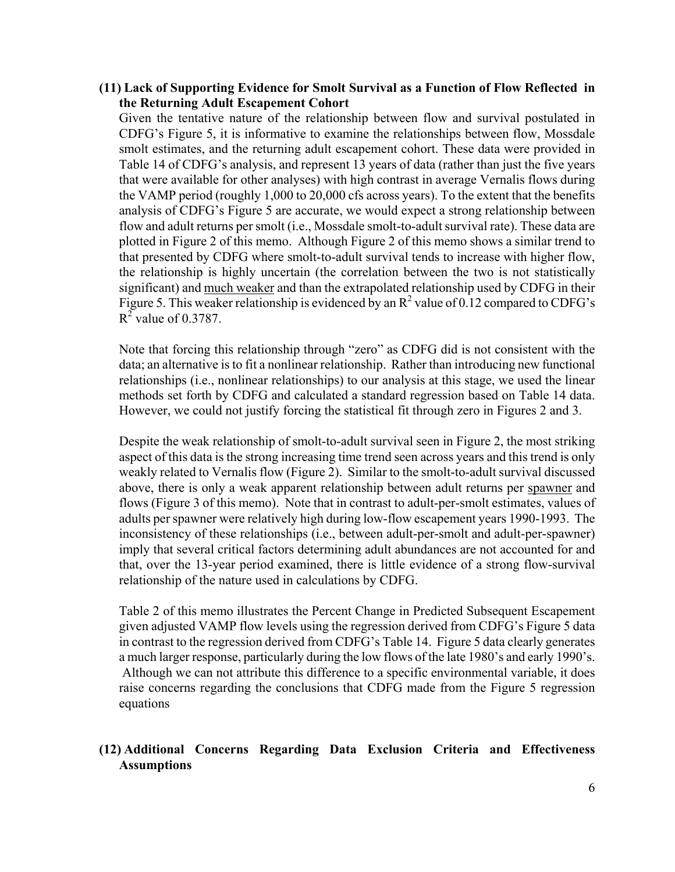# (11) Lack of Supporting Evidence for Smolt Survival as a Function of Flow Reflected in the Returning Adult Escapement Cohort

Given the tentative nature of the relationship between flow and survival postulated in CDFG's Figure 5, it is informative to examine the relationships between flow, Mossdale smolt estimates, and the returning adult escapement cohort. These data were provided in Table 14 of CDFG's analysis, and represent 13 years of data (rather than just the five years that were available for other analyses) with high contrast in average Vernalis flows during the VAMP period (roughly 1,000 to 20,000 cfs across years). To the extent that the benefits analysis of CDFG's Figure 5 are accurate, we would expect a strong relationship between flow and adult returns per smolt (i.e., Mossdale smolt-to-adult survival rate). These data are plotted in Figure 2 of this memo. Although Figure 2 of this memo shows a similar trend to that presented by CDFG where smolt-to-adult survival tends to increase with higher flow, the relationship is highly uncertain (the correlation between the two is not statistically significant) and much weaker and than the extrapolated relationship used by CDFG in their Figure 5. This weaker relationship is evidenced by an  $R^2$  value of 0.12 compared to CDFG's  $R^2$  value of 0.3787.

Note that forcing this relationship through "zero" as CDFG did is not consistent with the data; an alternative is to fit a nonlinear relationship. Rather than introducing new functional relationships (i.e., nonlinear relationships) to our analysis at this stage, we used the linear methods set forth by CDFG and calculated a standard regression based on Table 14 data. However, we could not justify forcing the statistical fit through zero in Figures 2 and 3.

Despite the weak relationship of smolt-to-adult survival seen in Figure 2, the most striking aspect of this data is the strong increasing time trend seen across years and this trend is only weakly related to Vernalis flow (Figure 2). Similar to the smolt-to-adult survival discussed above, there is only a weak apparent relationship between adult returns per spawner and flows (Figure 3 of this memo). Note that in contrast to adult-per-smolt estimates, values of adults per spawner were relatively high during low-flow escapement years 1990-1993. The inconsistency of these relationships (i.e., between adult-per-smolt and adult-per-spawner) imply that several critical factors determining adult abundances are not accounted for and that, over the 13-year period examined, there is little evidence of a strong flow-survival relationship of the nature used in calculations by CDFG.

Table 2 of this memo illustrates the Percent Change in Predicted Subsequent Escapement given adjusted VAMP flow levels using the regression derived from CDFG's Figure 5 data in contrast to the regression derived from CDFG's Table 14. Figure 5 data clearly generates a much larger response, particularly during the low flows of the late 1980's and early 1990's. Although we can not attribute this difference to a specific environmental variable, it does raise concerns regarding the conclusions that CDFG made from the Figure 5 regression equations

# (12) Additional Concerns Regarding Data Exclusion Criteria and Effectiveness Assumptions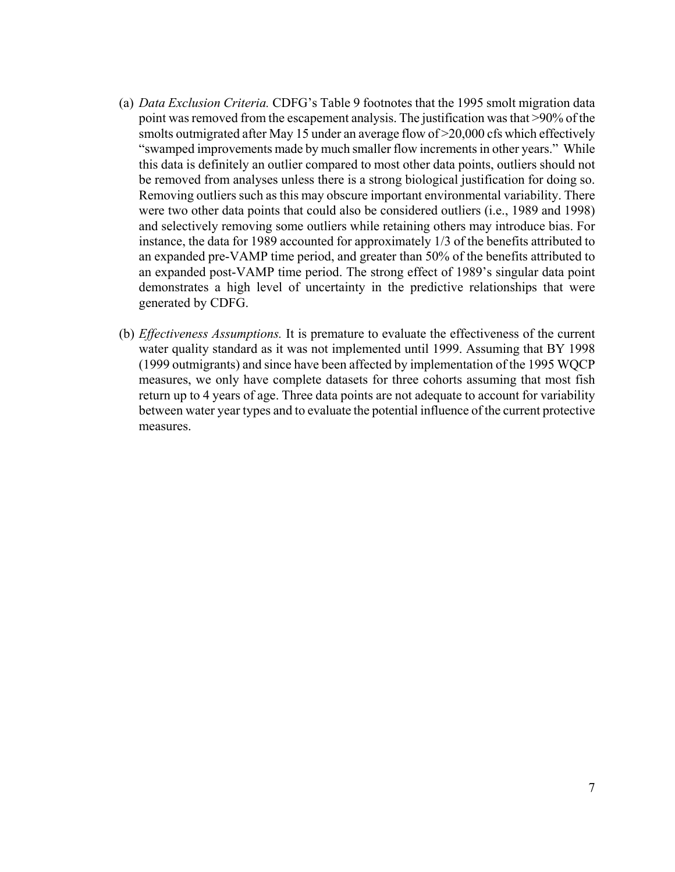- (a) Data Exclusion Criteria. CDFG's Table 9 footnotes that the 1995 smolt migration data point was removed from the escapement analysis. The justification was that >90% of the smolts outmigrated after May 15 under an average flow of  $>20,000$  cfs which effectively "swamped improvements made by much smaller flow increments in other years." While this data is definitely an outlier compared to most other data points, outliers should not be removed from analyses unless there is a strong biological justification for doing so. Removing outliers such as this may obscure important environmental variability. There were two other data points that could also be considered outliers (i.e., 1989 and 1998) and selectively removing some outliers while retaining others may introduce bias. For instance, the data for 1989 accounted for approximately 1/3 of the benefits attributed to an expanded pre-VAMP time period, and greater than 50% of the benefits attributed to an expanded post-VAMP time period. The strong effect of 1989's singular data point demonstrates a high level of uncertainty in the predictive relationships that were generated by CDFG.
- (b) Effectiveness Assumptions. It is premature to evaluate the effectiveness of the current water quality standard as it was not implemented until 1999. Assuming that BY 1998 (1999 outmigrants) and since have been affected by implementation of the 1995 WQCP measures, we only have complete datasets for three cohorts assuming that most fish return up to 4 years of age. Three data points are not adequate to account for variability between water year types and to evaluate the potential influence of the current protective measures.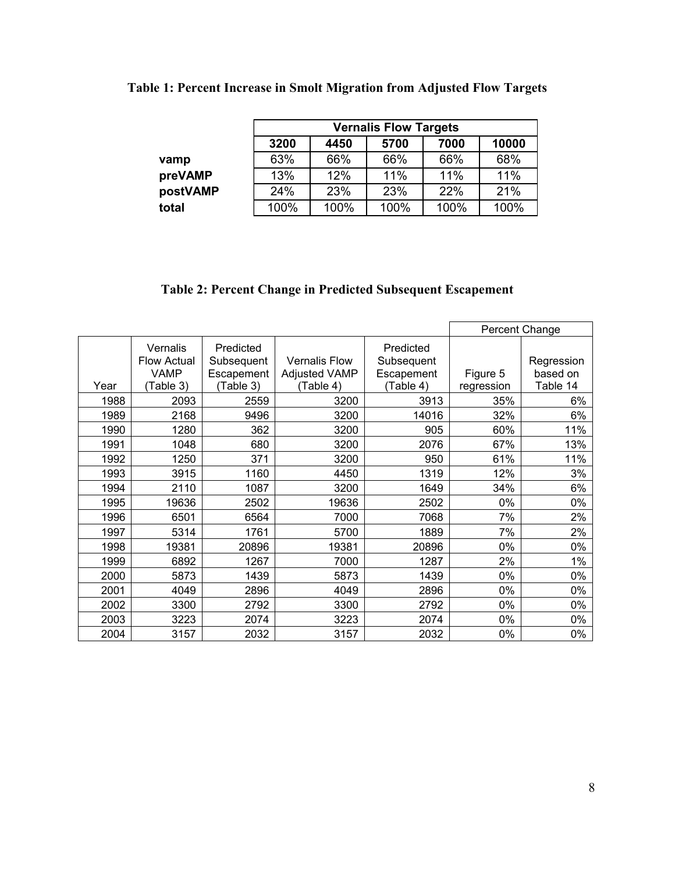|          | <b>Vernalis Flow Targets</b> |      |      |      |       |  |  |
|----------|------------------------------|------|------|------|-------|--|--|
|          | 3200                         | 4450 | 5700 | 7000 | 10000 |  |  |
| vamp     | 63%                          | 66%  | 66%  | 66%  | 68%   |  |  |
| preVAMP  | 13%                          | 12%  | 11%  | 11%  | 11%   |  |  |
| postVAMP | 24%                          | 23%  | 23%  | 22%  | 21%   |  |  |
| total    | 100%                         | 100% | 100% | 100% | 100%  |  |  |

Table 1: Percent Increase in Smolt Migration from Adjusted Flow Targets

# Table 2: Percent Change in Predicted Subsequent Escapement

|      |                                        |                                       |                                              |                                       | Percent Change |                        |
|------|----------------------------------------|---------------------------------------|----------------------------------------------|---------------------------------------|----------------|------------------------|
|      | Vernalis<br>Flow Actual<br><b>VAMP</b> | Predicted<br>Subsequent<br>Escapement | <b>Vernalis Flow</b><br><b>Adjusted VAMP</b> | Predicted<br>Subsequent<br>Escapement | Figure 5       | Regression<br>based on |
| Year | (Table 3)                              | (Table 3)                             | (Table 4)                                    | (Table 4)                             | regression     | Table 14               |
| 1988 | 2093                                   | 2559                                  | 3200                                         | 3913                                  | 35%            | 6%                     |
| 1989 | 2168                                   | 9496                                  | 3200                                         | 14016                                 | 32%            | 6%                     |
| 1990 | 1280                                   | 362                                   | 3200                                         | 905                                   | 60%            | 11%                    |
| 1991 | 1048                                   | 680                                   | 3200                                         | 2076                                  | 67%            | 13%                    |
| 1992 | 1250                                   | 371                                   | 3200                                         | 950                                   | 61%            | 11%                    |
| 1993 | 3915                                   | 1160                                  | 4450                                         | 1319                                  | 12%            | 3%                     |
| 1994 | 2110                                   | 1087                                  | 3200                                         | 1649                                  | 34%            | 6%                     |
| 1995 | 19636                                  | 2502                                  | 19636                                        | 2502                                  | $0\%$          | 0%                     |
| 1996 | 6501                                   | 6564                                  | 7000                                         | 7068                                  | 7%             | 2%                     |
| 1997 | 5314                                   | 1761                                  | 5700                                         | 1889                                  | 7%             | 2%                     |
| 1998 | 19381                                  | 20896                                 | 19381                                        | 20896                                 | 0%             | 0%                     |
| 1999 | 6892                                   | 1267                                  | 7000                                         | 1287                                  | 2%             | 1%                     |
| 2000 | 5873                                   | 1439                                  | 5873                                         | 1439                                  | 0%             | 0%                     |
| 2001 | 4049                                   | 2896                                  | 4049                                         | 2896                                  | 0%             | 0%                     |
| 2002 | 3300                                   | 2792                                  | 3300                                         | 2792                                  | 0%             | 0%                     |
| 2003 | 3223                                   | 2074                                  | 3223                                         | 2074                                  | 0%             | 0%                     |
| 2004 | 3157                                   | 2032                                  | 3157                                         | 2032                                  | 0%             | 0%                     |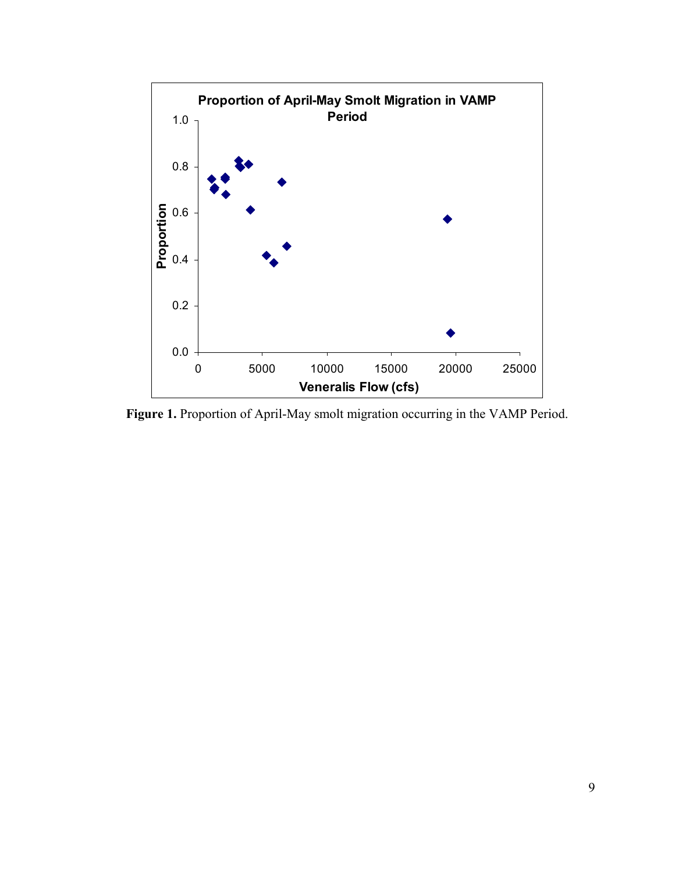

Figure 1. Proportion of April-May smolt migration occurring in the VAMP Period.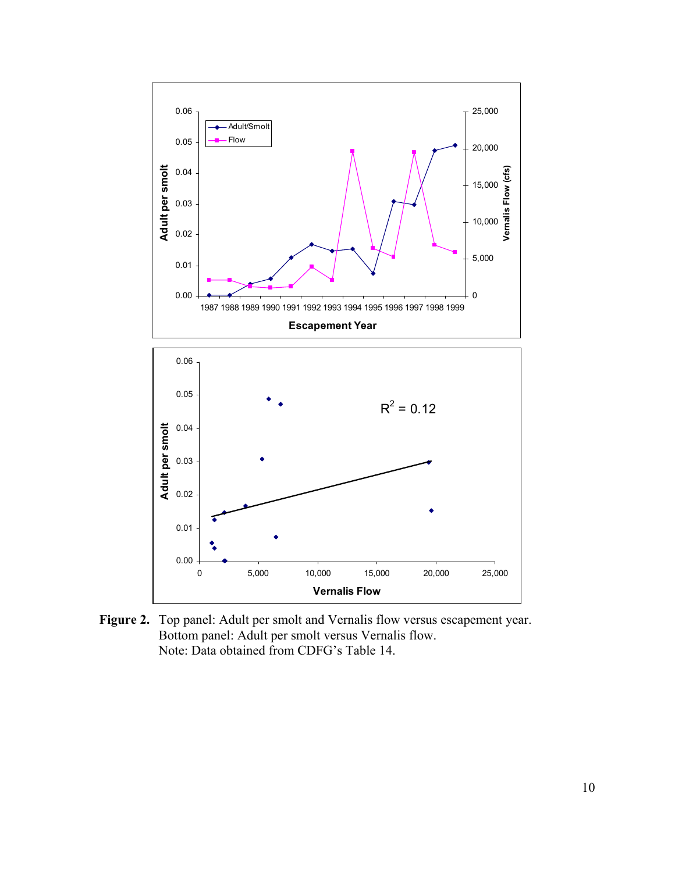

Figure 2. Top panel: Adult per smolt and Vernalis flow versus escapement year. Bottom panel: Adult per smolt versus Vernalis flow. Note: Data obtained from CDFG's Table 14.